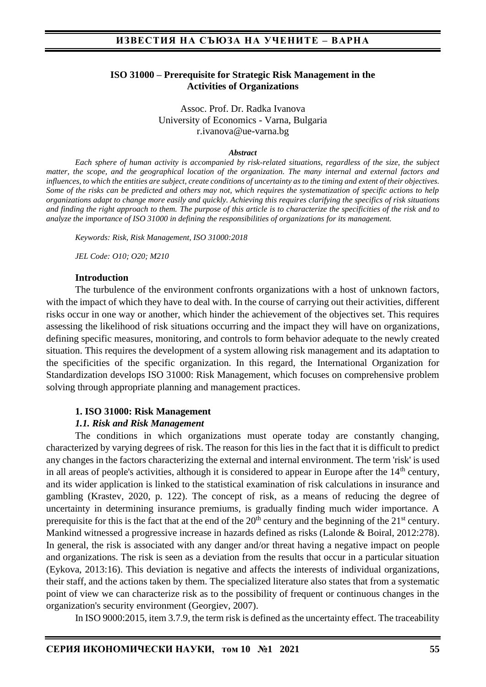### **ISO 31000 – Prerequisite for Strategic Risk Management in the Activities of Organizations**

Assoc. Prof. Dr. Radka Ivanova University of Economics - Varna, Bulgaria r.ivanova@ue-varna.bg

#### *Abstract*

*Each sphere of human activity is accompanied by risk-related situations, regardless of the size, the subject matter, the scope, and the geographical location of the organization. The many internal and external factors and influences, to which the entities are subject, create conditions of uncertainty as to the timing and extent of their objectives. Some of the risks can be predicted and others may not, which requires the systematization of specific actions to help organizations adapt to change more easily and quickly. Achieving this requires clarifying the specifics of risk situations and finding the right approach to them. The purpose of this article is to characterize the specificities of the risk and to analyze the importance of ISO 31000 in defining the responsibilities of organizations for its management.*

*Keywords: Risk, Risk Management, ISO 31000:2018*

*JEL Code: O10; O20; M210*

#### **Introduction**

The turbulence of the environment confronts organizations with a host of unknown factors, with the impact of which they have to deal with. In the course of carrying out their activities, different risks occur in one way or another, which hinder the achievement of the objectives set. This requires assessing the likelihood of risk situations occurring and the impact they will have on organizations, defining specific measures, monitoring, and controls to form behavior adequate to the newly created situation. This requires the development of a system allowing risk management and its adaptation to the specificities of the specific organization. In this regard, the International Organization for Standardization develops ISO 31000: Risk Management, which focuses on comprehensive problem solving through appropriate planning and management practices.

#### **1. ISO 31000: Risk Management**

### *1.1. Risk and Risk Management*

The conditions in which organizations must operate today are constantly changing, characterized by varying degrees of risk. The reason for this lies in the fact that it is difficult to predict any changes in the factors characterizing the external and internal environment. The term 'risk' is used in all areas of people's activities, although it is considered to appear in Europe after the 14<sup>th</sup> century, and its wider application is linked to the statistical examination of risk calculations in insurance and gambling (Krastev, 2020, p. 122). The concept of risk, as a means of reducing the degree of uncertainty in determining insurance premiums, is gradually finding much wider importance. A prerequisite for this is the fact that at the end of the  $20<sup>th</sup>$  century and the beginning of the  $21<sup>st</sup>$  century. Mankind witnessed a progressive increase in hazards defined as risks (Lalonde & Boiral, 2012:278). In general, the risk is associated with any danger and/or threat having a negative impact on people and organizations. The risk is seen as a deviation from the results that occur in a particular situation (Eykova, 2013:16). This deviation is negative and affects the interests of individual organizations, their staff, and the actions taken by them. The specialized literature also states that from a systematic point of view we can characterize risk as to the possibility of frequent or continuous changes in the organization's security environment (Georgiev, 2007).

In ISO 9000:2015, item 3.7.9, the term risk is defined as the uncertainty effect. The traceability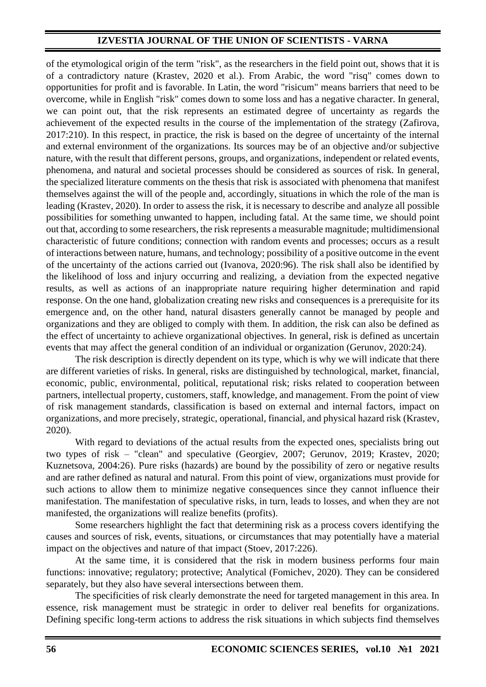# **IZVESTIA JOURNAL OF THE UNION OF SCIENTISTS - VARNA**

of the etymological origin of the term "risk", as the researchers in the field point out, shows that it is of a contradictory nature (Krastev, 2020 et al.). From Arabic, the word "risq" comes down to opportunities for profit and is favorable. In Latin, the word "risicum" means barriers that need to be overcome, while in English "risk" comes down to some loss and has a negative character. In general, we can point out, that the risk represents an estimated degree of uncertainty as regards the achievement of the expected results in the course of the implementation of the strategy (Zafirova, 2017:210). In this respect, in practice, the risk is based on the degree of uncertainty of the internal and external environment of the organizations. Its sources may be of an objective and/or subjective nature, with the result that different persons, groups, and organizations, independent or related events, phenomena, and natural and societal processes should be considered as sources of risk. In general, the specialized literature comments on the thesis that risk is associated with phenomena that manifest themselves against the will of the people and, accordingly, situations in which the role of the man is leading (Krastev, 2020). In order to assess the risk, it is necessary to describe and analyze all possible possibilities for something unwanted to happen, including fatal. At the same time, we should point out that, according to some researchers, the risk represents a measurable magnitude; multidimensional characteristic of future conditions; connection with random events and processes; occurs as a result of interactions between nature, humans, and technology; possibility of a positive outcome in the event of the uncertainty of the actions carried out (Ivanova, 2020:96). The risk shall also be identified by the likelihood of loss and injury occurring and realizing, a deviation from the expected negative results, as well as actions of an inappropriate nature requiring higher determination and rapid response. On the one hand, globalization creating new risks and consequences is a prerequisite for its emergence and, on the other hand, natural disasters generally cannot be managed by people and organizations and they are obliged to comply with them. In addition, the risk can also be defined as the effect of uncertainty to achieve organizational objectives. In general, risk is defined as uncertain events that may affect the general condition of an individual or organization (Gerunov, 2020:24).

The risk description is directly dependent on its type, which is why we will indicate that there are different varieties of risks. In general, risks are distinguished by technological, market, financial, economic, public, environmental, political, reputational risk; risks related to cooperation between partners, intellectual property, customers, staff, knowledge, and management. From the point of view of risk management standards, classification is based on external and internal factors, impact on organizations, and more precisely, strategic, operational, financial, and physical hazard risk (Krastev, 2020).

With regard to deviations of the actual results from the expected ones, specialists bring out two types of risk – "clean" and speculative (Georgiev, 2007; Gerunov, 2019; Krastev, 2020; Kuznetsova, 2004:26). Pure risks (hazards) are bound by the possibility of zero or negative results and are rather defined as natural and natural. From this point of view, organizations must provide for such actions to allow them to minimize negative consequences since they cannot influence their manifestation. The manifestation of speculative risks, in turn, leads to losses, and when they are not manifested, the organizations will realize benefits (profits).

Some researchers highlight the fact that determining risk as a process covers identifying the causes and sources of risk, events, situations, or circumstances that may potentially have a material impact on the objectives and nature of that impact (Stoev, 2017:226).

At the same time, it is considered that the risk in modern business performs four main functions: innovative; regulatory; protective; Analytical (Fomichev, 2020). They can be considered separately, but they also have several intersections between them.

The specificities of risk clearly demonstrate the need for targeted management in this area. In essence, risk management must be strategic in order to deliver real benefits for organizations. Defining specific long-term actions to address the risk situations in which subjects find themselves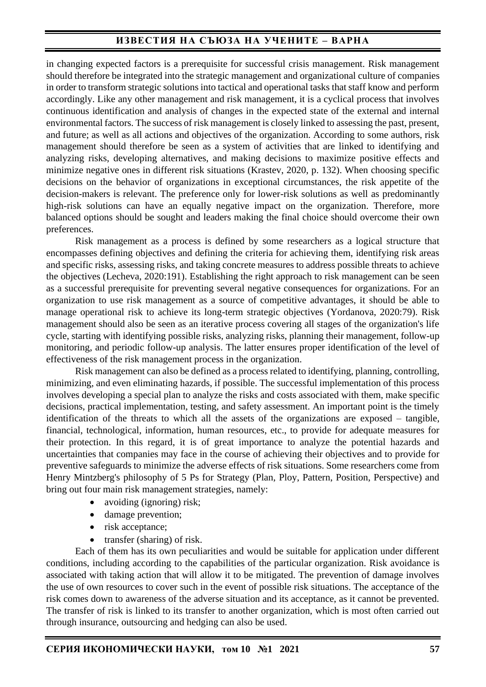# **ИЗВЕСТИЯ НА СЪЮЗА НА УЧЕНИТЕ – ВАРНА**

in changing expected factors is a prerequisite for successful crisis management. Risk management should therefore be integrated into the strategic management and organizational culture of companies in order to transform strategic solutions into tactical and operational tasks that staff know and perform accordingly. Like any other management and risk management, it is a cyclical process that involves continuous identification and analysis of changes in the expected state of the external and internal environmental factors. The success of risk management is closely linked to assessing the past, present, and future; as well as all actions and objectives of the organization. According to some authors, risk management should therefore be seen as a system of activities that are linked to identifying and analyzing risks, developing alternatives, and making decisions to maximize positive effects and minimize negative ones in different risk situations (Krastev, 2020, p. 132). When choosing specific decisions on the behavior of organizations in exceptional circumstances, the risk appetite of the decision-makers is relevant. The preference only for lower-risk solutions as well as predominantly high-risk solutions can have an equally negative impact on the organization. Therefore, more balanced options should be sought and leaders making the final choice should overcome their own preferences.

Risk management as a process is defined by some researchers as a logical structure that encompasses defining objectives and defining the criteria for achieving them, identifying risk areas and specific risks, assessing risks, and taking concrete measures to address possible threats to achieve the objectives (Lecheva, 2020:191). Establishing the right approach to risk management can be seen as a successful prerequisite for preventing several negative consequences for organizations. For an organization to use risk management as a source of competitive advantages, it should be able to manage operational risk to achieve its long-term strategic objectives (Yordanova, 2020:79). Risk management should also be seen as an iterative process covering all stages of the organization's life cycle, starting with identifying possible risks, analyzing risks, planning their management, follow-up monitoring, and periodic follow-up analysis. The latter ensures proper identification of the level of effectiveness of the risk management process in the organization.

Risk management can also be defined as a process related to identifying, planning, controlling, minimizing, and even eliminating hazards, if possible. The successful implementation of this process involves developing a special plan to analyze the risks and costs associated with them, make specific decisions, practical implementation, testing, and safety assessment. An important point is the timely identification of the threats to which all the assets of the organizations are exposed – tangible, financial, technological, information, human resources, etc., to provide for adequate measures for their protection. In this regard, it is of great importance to analyze the potential hazards and uncertainties that companies may face in the course of achieving their objectives and to provide for preventive safeguards to minimize the adverse effects of risk situations. Some researchers come from Henry Mintzberg's philosophy of 5 Ps for Strategy (Plan, Ploy, Pattern, Position, Perspective) and bring out four main risk management strategies, namely:

- avoiding (ignoring) risk;
- damage prevention;
- risk acceptance;
- transfer (sharing) of risk.

Each of them has its own peculiarities and would be suitable for application under different conditions, including according to the capabilities of the particular organization. Risk avoidance is associated with taking action that will allow it to be mitigated. The prevention of damage involves the use of own resources to cover such in the event of possible risk situations. The acceptance of the risk comes down to awareness of the adverse situation and its acceptance, as it cannot be prevented. The transfer of risk is linked to its transfer to another organization, which is most often carried out through insurance, outsourcing and hedging can also be used.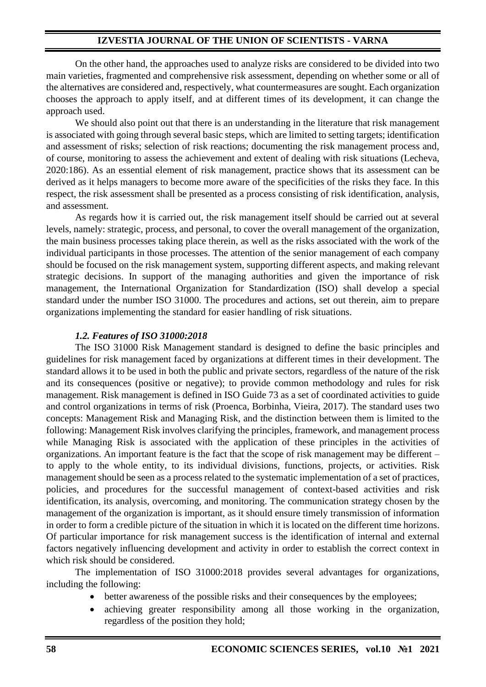# **IZVESTIA JOURNAL OF THE UNION OF SCIENTISTS - VARNA**

On the other hand, the approaches used to analyze risks are considered to be divided into two main varieties, fragmented and comprehensive risk assessment, depending on whether some or all of the alternatives are considered and, respectively, what countermeasures are sought. Each organization chooses the approach to apply itself, and at different times of its development, it can change the approach used.

We should also point out that there is an understanding in the literature that risk management is associated with going through several basic steps, which are limited to setting targets; identification and assessment of risks; selection of risk reactions; documenting the risk management process and, of course, monitoring to assess the achievement and extent of dealing with risk situations (Lecheva, 2020:186). As an essential element of risk management, practice shows that its assessment can be derived as it helps managers to become more aware of the specificities of the risks they face. In this respect, the risk assessment shall be presented as a process consisting of risk identification, analysis, and assessment.

As regards how it is carried out, the risk management itself should be carried out at several levels, namely: strategic, process, and personal, to cover the overall management of the organization, the main business processes taking place therein, as well as the risks associated with the work of the individual participants in those processes. The attention of the senior management of each company should be focused on the risk management system, supporting different aspects, and making relevant strategic decisions. In support of the managing authorities and given the importance of risk management, the International Organization for Standardization (ISO) shall develop a special standard under the number ISO 31000. The procedures and actions, set out therein, aim to prepare organizations implementing the standard for easier handling of risk situations.

## *1.2. Features of ISO 31000:2018*

The ISO 31000 Risk Management standard is designed to define the basic principles and guidelines for risk management faced by organizations at different times in their development. The standard allows it to be used in both the public and private sectors, regardless of the nature of the risk and its consequences (positive or negative); to provide common methodology and rules for risk management. Risk management is defined in ISO Guide 73 as a set of coordinated activities to guide and control organizations in terms of risk (Proenca, Borbinha, Vieira, 2017). The standard uses two concepts: Management Risk and Managing Risk, and the distinction between them is limited to the following: Management Risk involves clarifying the principles, framework, and management process while Managing Risk is associated with the application of these principles in the activities of organizations. An important feature is the fact that the scope of risk management may be different – to apply to the whole entity, to its individual divisions, functions, projects, or activities. Risk management should be seen as a process related to the systematic implementation of a set of practices, policies, and procedures for the successful management of context-based activities and risk identification, its analysis, overcoming, and monitoring. The communication strategy chosen by the management of the organization is important, as it should ensure timely transmission of information in order to form a credible picture of the situation in which it is located on the different time horizons. Of particular importance for risk management success is the identification of internal and external factors negatively influencing development and activity in order to establish the correct context in which risk should be considered.

The implementation of ISO 31000:2018 provides several advantages for organizations, including the following:

- better awareness of the possible risks and their consequences by the employees;
- achieving greater responsibility among all those working in the organization, regardless of the position they hold;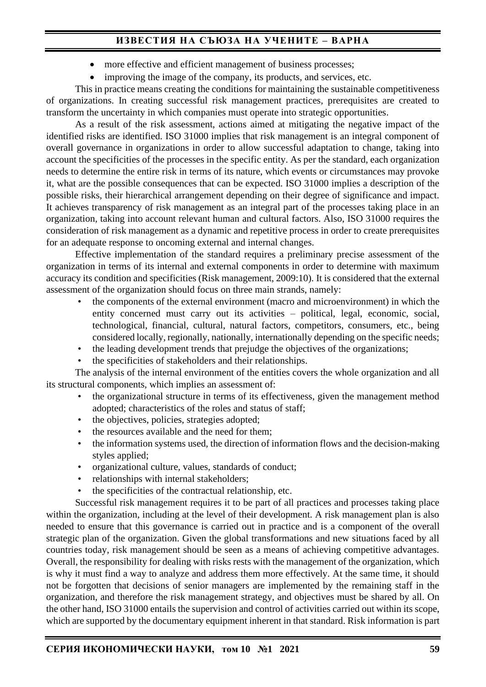# **ИЗВЕСТИЯ НА СЪЮЗА НА УЧЕНИТЕ – ВАРНА**

- more effective and efficient management of business processes;
- improving the image of the company, its products, and services, etc.

This in practice means creating the conditions for maintaining the sustainable competitiveness of organizations. In creating successful risk management practices, prerequisites are created to transform the uncertainty in which companies must operate into strategic opportunities.

As a result of the risk assessment, actions aimed at mitigating the negative impact of the identified risks are identified. ISO 31000 implies that risk management is an integral component of overall governance in organizations in order to allow successful adaptation to change, taking into account the specificities of the processes in the specific entity. As per the standard, each organization needs to determine the entire risk in terms of its nature, which events or circumstances may provoke it, what are the possible consequences that can be expected. ISO 31000 implies a description of the possible risks, their hierarchical arrangement depending on their degree of significance and impact. It achieves transparency of risk management as an integral part of the processes taking place in an organization, taking into account relevant human and cultural factors. Also, ISO 31000 requires the consideration of risk management as a dynamic and repetitive process in order to create prerequisites for an adequate response to oncoming external and internal changes.

Effective implementation of the standard requires a preliminary precise assessment of the organization in terms of its internal and external components in order to determine with maximum accuracy its condition and specificities (Risk management, 2009:10). It is considered that the external assessment of the organization should focus on three main strands, namely:

- the components of the external environment (macro and microenvironment) in which the entity concerned must carry out its activities – political, legal, economic, social, technological, financial, cultural, natural factors, competitors, consumers, etc., being considered locally, regionally, nationally, internationally depending on the specific needs;
- the leading development trends that prejudge the objectives of the organizations;
- the specificities of stakeholders and their relationships.

The analysis of the internal environment of the entities covers the whole organization and all its structural components, which implies an assessment of:

- the organizational structure in terms of its effectiveness, given the management method adopted; characteristics of the roles and status of staff;
- the objectives, policies, strategies adopted;
- the resources available and the need for them;
- the information systems used, the direction of information flows and the decision-making styles applied;
- organizational culture, values, standards of conduct;
- relationships with internal stakeholders;
- the specificities of the contractual relationship, etc.

Successful risk management requires it to be part of all practices and processes taking place within the organization, including at the level of their development. A risk management plan is also needed to ensure that this governance is carried out in practice and is a component of the overall strategic plan of the organization. Given the global transformations and new situations faced by all countries today, risk management should be seen as a means of achieving competitive advantages. Overall, the responsibility for dealing with risks rests with the management of the organization, which is why it must find a way to analyze and address them more effectively. At the same time, it should not be forgotten that decisions of senior managers are implemented by the remaining staff in the organization, and therefore the risk management strategy, and objectives must be shared by all. On the other hand, ISO 31000 entails the supervision and control of activities carried out within its scope, which are supported by the documentary equipment inherent in that standard. Risk information is part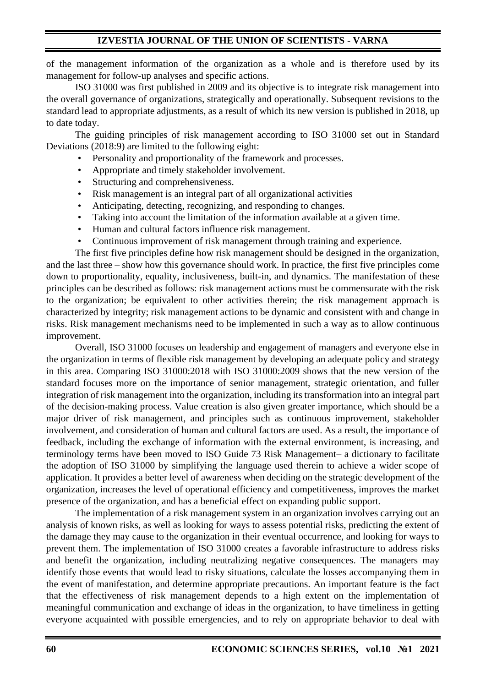of the management information of the organization as a whole and is therefore used by its management for follow-up analyses and specific actions.

ISO 31000 was first published in 2009 and its objective is to integrate risk management into the overall governance of organizations, strategically and operationally. Subsequent revisions to the standard lead to appropriate adjustments, as a result of which its new version is published in 2018, up to date today.

The guiding principles of risk management according to ISO 31000 set out in Standard Deviations (2018:9) are limited to the following eight:

- Personality and proportionality of the framework and processes.
- Appropriate and timely stakeholder involvement.
- Structuring and comprehensiveness.
- Risk management is an integral part of all organizational activities
- Anticipating, detecting, recognizing, and responding to changes.
- Taking into account the limitation of the information available at a given time.
- Human and cultural factors influence risk management.
- Continuous improvement of risk management through training and experience.

The first five principles define how risk management should be designed in the organization, and the last three – show how this governance should work. In practice, the first five principles come down to proportionality, equality, inclusiveness, built-in, and dynamics. The manifestation of these principles can be described as follows: risk management actions must be commensurate with the risk to the organization; be equivalent to other activities therein; the risk management approach is characterized by integrity; risk management actions to be dynamic and consistent with and change in risks. Risk management mechanisms need to be implemented in such a way as to allow continuous improvement.

Overall, ISO 31000 focuses on leadership and engagement of managers and everyone else in the organization in terms of flexible risk management by developing an adequate policy and strategy in this area. Comparing ISO 31000:2018 with ISO 31000:2009 shows that the new version of the standard focuses more on the importance of senior management, strategic orientation, and fuller integration of risk management into the organization, including its transformation into an integral part of the decision-making process. Value creation is also given greater importance, which should be a major driver of risk management, and principles such as continuous improvement, stakeholder involvement, and consideration of human and cultural factors are used. As a result, the importance of feedback, including the exchange of information with the external environment, is increasing, and terminology terms have been moved to ISO Guide 73 Risk Management– a dictionary to facilitate the adoption of ISO 31000 by simplifying the language used therein to achieve a wider scope of application. It provides a better level of awareness when deciding on the strategic development of the organization, increases the level of operational efficiency and competitiveness, improves the market presence of the organization, and has a beneficial effect on expanding public support.

The implementation of a risk management system in an organization involves carrying out an analysis of known risks, as well as looking for ways to assess potential risks, predicting the extent of the damage they may cause to the organization in their eventual occurrence, and looking for ways to prevent them. The implementation of ISO 31000 creates a favorable infrastructure to address risks and benefit the organization, including neutralizing negative consequences. The managers may identify those events that would lead to risky situations, calculate the losses accompanying them in the event of manifestation, and determine appropriate precautions. An important feature is the fact that the effectiveness of risk management depends to a high extent on the implementation of meaningful communication and exchange of ideas in the organization, to have timeliness in getting everyone acquainted with possible emergencies, and to rely on appropriate behavior to deal with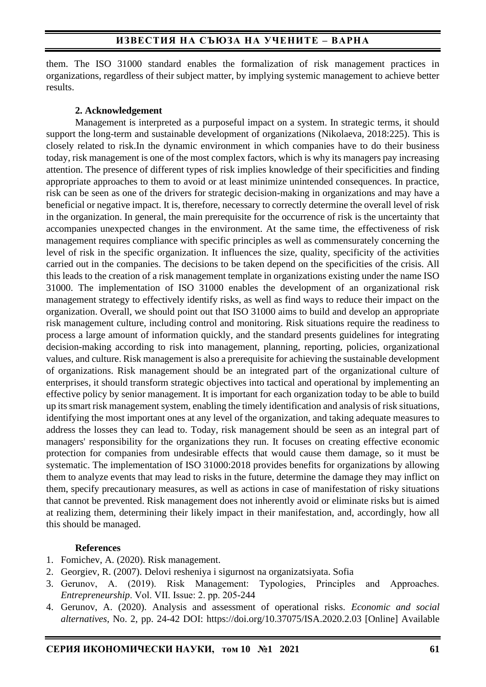them. The ISO 31000 standard enables the formalization of risk management practices in organizations, regardless of their subject matter, by implying systemic management to achieve better results.

## **2. Acknowledgement**

Management is interpreted as a purposeful impact on a system. In strategic terms, it should support the long-term and sustainable development of organizations (Nikolaeva, 2018:225). This is closely related to risk.In the dynamic environment in which companies have to do their business today, risk management is one of the most complex factors, which is why its managers pay increasing attention. The presence of different types of risk implies knowledge of their specificities and finding appropriate approaches to them to avoid or at least minimize unintended consequences. In practice, risk can be seen as one of the drivers for strategic decision-making in organizations and may have a beneficial or negative impact. It is, therefore, necessary to correctly determine the overall level of risk in the organization. In general, the main prerequisite for the occurrence of risk is the uncertainty that accompanies unexpected changes in the environment. At the same time, the effectiveness of risk management requires compliance with specific principles as well as commensurately concerning the level of risk in the specific organization. It influences the size, quality, specificity of the activities carried out in the companies. The decisions to be taken depend on the specificities of the crisis. All this leads to the creation of a risk management template in organizations existing under the name ISO 31000. The implementation of ISO 31000 enables the development of an organizational risk management strategy to effectively identify risks, as well as find ways to reduce their impact on the organization. Overall, we should point out that ISO 31000 aims to build and develop an appropriate risk management culture, including control and monitoring. Risk situations require the readiness to process a large amount of information quickly, and the standard presents guidelines for integrating decision-making according to risk into management, planning, reporting, policies, organizational values, and culture. Risk management is also a prerequisite for achieving the sustainable development of organizations. Risk management should be an integrated part of the organizational culture of enterprises, it should transform strategic objectives into tactical and operational by implementing an effective policy by senior management. It is important for each organization today to be able to build up its smart risk management system, enabling the timely identification and analysis of risk situations, identifying the most important ones at any level of the organization, and taking adequate measures to address the losses they can lead to. Today, risk management should be seen as an integral part of managers' responsibility for the organizations they run. It focuses on creating effective economic protection for companies from undesirable effects that would cause them damage, so it must be systematic. The implementation of ISO 31000:2018 provides benefits for organizations by allowing them to analyze events that may lead to risks in the future, determine the damage they may inflict on them, specify precautionary measures, as well as actions in case of manifestation of risky situations that cannot be prevented. Risk management does not inherently avoid or eliminate risks but is aimed at realizing them, determining their likely impact in their manifestation, and, accordingly, how all this should be managed.

## **References**

- 1. Fomichev, A. (2020). Risk management.
- 2. Georgiev, R. (2007). Delovi resheniya i sigurnost na organizatsiyata. Sofia
- 3. Gerunov, А. (2019). Risk Management: Typologies, Principles and Approaches. *Entrepreneurship*. Vol. VІI. Issue: 2. pp. 205-244
- 4. Gerunov, A. (2020). Analysis and assessment of operational risks. *Economic and social alternatives*, No. 2, pp. 24-42 DOI:<https://doi.org/10.37075/ISA.2020.2.03> [Online] Available